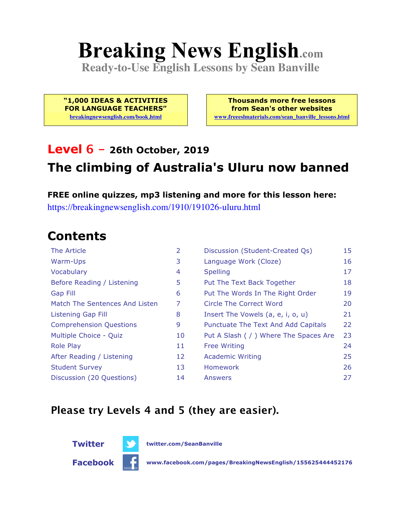# **Breaking News English.com**

**Ready-to-Use English Lessons by Sean Banville**

**"1,000 IDEAS & ACTIVITIES FOR LANGUAGE TEACHERS" breakingnewsenglish.com/book.html**

**Thousands more free lessons from Sean's other websites www.freeeslmaterials.com/sean\_banville\_lessons.html**

## **Level 6 - 26th October, 2019 The climbing of Australia's Uluru now banned**

**FREE online quizzes, mp3 listening and more for this lesson here:** https://breakingnewsenglish.com/1910/191026-uluru.html

### **Contents**

| The Article                    | 2  | Discussion (Student-Created Qs)        | 15 |
|--------------------------------|----|----------------------------------------|----|
| Warm-Ups                       | 3  | Language Work (Cloze)                  | 16 |
| Vocabulary                     | 4  | <b>Spelling</b>                        | 17 |
| Before Reading / Listening     | 5  | Put The Text Back Together             | 18 |
| Gap Fill                       | 6  | Put The Words In The Right Order       | 19 |
| Match The Sentences And Listen | 7  | Circle The Correct Word                | 20 |
| Listening Gap Fill             | 8  | Insert The Vowels (a, e, i, o, u)      | 21 |
| <b>Comprehension Questions</b> | 9  | Punctuate The Text And Add Capitals    | 22 |
| Multiple Choice - Quiz         | 10 | Put A Slash ( / ) Where The Spaces Are | 23 |
| <b>Role Play</b>               | 11 | <b>Free Writing</b>                    | 24 |
| After Reading / Listening      | 12 | <b>Academic Writing</b>                | 25 |
| <b>Student Survey</b>          | 13 | Homework                               | 26 |
| Discussion (20 Questions)      | 14 | Answers                                | 27 |

### **Please try Levels 4 and 5 (they are easier).**



**Facebook www.facebook.com/pages/BreakingNewsEnglish/155625444452176**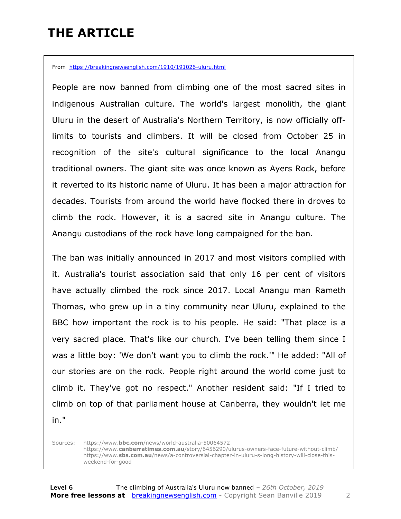## **THE ARTICLE**

From https://breakingnewsenglish.com/1910/191026-uluru.html

People are now banned from climbing one of the most sacred sites in indigenous Australian culture. The world's largest monolith, the giant Uluru in the desert of Australia's Northern Territory, is now officially offlimits to tourists and climbers. It will be closed from October 25 in recognition of the site's cultural significance to the local Anangu traditional owners. The giant site was once known as Ayers Rock, before it reverted to its historic name of Uluru. It has been a major attraction for decades. Tourists from around the world have flocked there in droves to climb the rock. However, it is a sacred site in Anangu culture. The Anangu custodians of the rock have long campaigned for the ban.

The ban was initially announced in 2017 and most visitors complied with it. Australia's tourist association said that only 16 per cent of visitors have actually climbed the rock since 2017. Local Anangu man Rameth Thomas, who grew up in a tiny community near Uluru, explained to the BBC how important the rock is to his people. He said: "That place is a very sacred place. That's like our church. I've been telling them since I was a little boy: 'We don't want you to climb the rock.'" He added: "All of our stories are on the rock. People right around the world come just to climb it. They've got no respect." Another resident said: "If I tried to climb on top of that parliament house at Canberra, they wouldn't let me in."

Sources: https://www.**bbc.com**/news/world-australia-50064572 https://www.**canberratimes.com.au**/story/6456290/ulurus-owners-face-future-without-climb/ https://www.**sbs.com.au**/news/a-controversial-chapter-in-uluru-s-long-history-will-close-thisweekend-for-good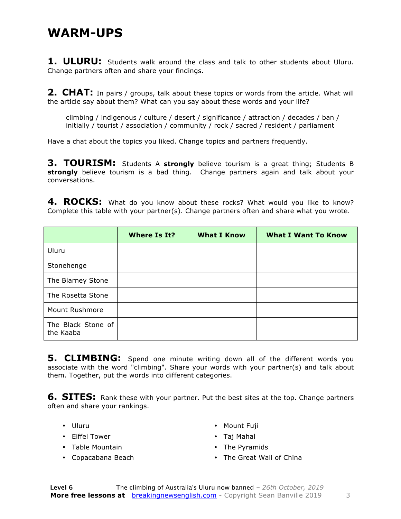### **WARM-UPS**

1. **ULURU:** Students walk around the class and talk to other students about Uluru. Change partners often and share your findings.

**2. CHAT:** In pairs / groups, talk about these topics or words from the article. What will the article say about them? What can you say about these words and your life?

climbing / indigenous / culture / desert / significance / attraction / decades / ban / initially / tourist / association / community / rock / sacred / resident / parliament

Have a chat about the topics you liked. Change topics and partners frequently.

**3. TOURISM:** Students A **strongly** believe tourism is a great thing; Students B **strongly** believe tourism is a bad thing. Change partners again and talk about your conversations.

4. ROCKS: What do you know about these rocks? What would you like to know? Complete this table with your partner(s). Change partners often and share what you wrote.

|                                 | <b>Where Is It?</b> | <b>What I Know</b> | <b>What I Want To Know</b> |
|---------------------------------|---------------------|--------------------|----------------------------|
| Uluru                           |                     |                    |                            |
| Stonehenge                      |                     |                    |                            |
| The Blarney Stone               |                     |                    |                            |
| The Rosetta Stone               |                     |                    |                            |
| Mount Rushmore                  |                     |                    |                            |
| The Black Stone of<br>the Kaaba |                     |                    |                            |

**5. CLIMBING:** Spend one minute writing down all of the different words you associate with the word "climbing". Share your words with your partner(s) and talk about them. Together, put the words into different categories.

**6. SITES:** Rank these with your partner. Put the best sites at the top. Change partners often and share your rankings.

- Uluru
- Eiffel Tower
- Table Mountain
- Copacabana Beach
- Mount Fuji
- Taj Mahal
- The Pyramids
- The Great Wall of China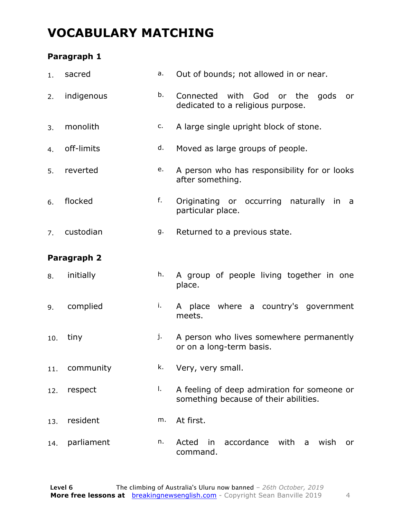### **VOCABULARY MATCHING**

### **Paragraph 1**

| 1.  | sacred      | а. | Out of bounds; not allowed in or near.                                               |  |  |  |
|-----|-------------|----|--------------------------------------------------------------------------------------|--|--|--|
| 2.  | indigenous  | b. | Connected with God or the<br>gods<br>or<br>dedicated to a religious purpose.         |  |  |  |
| 3.  | monolith    | c. | A large single upright block of stone.                                               |  |  |  |
| 4.  | off-limits  | d. | Moved as large groups of people.                                                     |  |  |  |
| 5.  | reverted    | e. | A person who has responsibility for or looks<br>after something.                     |  |  |  |
| 6.  | flocked     | f. | Originating or occurring naturally in<br>a<br>particular place.                      |  |  |  |
| 7.  | custodian   | g. | Returned to a previous state.                                                        |  |  |  |
|     | Paragraph 2 |    |                                                                                      |  |  |  |
| 8.  | initially   | h. | A group of people living together in one<br>place.                                   |  |  |  |
| 9.  | complied    | i. | A place where a country's government<br>meets.                                       |  |  |  |
| 10. | tiny        | j. | A person who lives somewhere permanently<br>or on a long-term basis.                 |  |  |  |
| 11. | community   | k. | Very, very small.                                                                    |  |  |  |
| 12. | respect     | Ι. | A feeling of deep admiration for someone or<br>something because of their abilities. |  |  |  |
| 13. | resident    | m. | At first.                                                                            |  |  |  |
| 14. | parliament  | n. | accordance with<br>Acted<br>in<br>a wish<br><b>or</b><br>command.                    |  |  |  |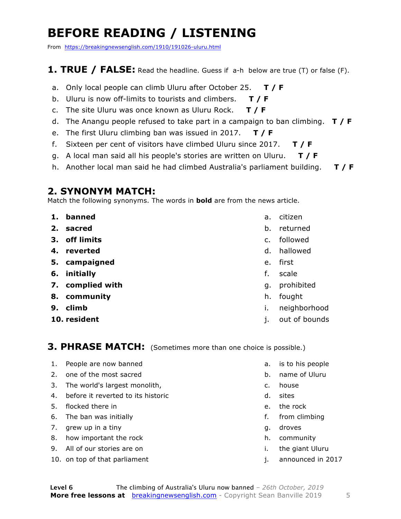## **BEFORE READING / LISTENING**

From https://breakingnewsenglish.com/1910/191026-uluru.html

### **1. TRUE / FALSE:** Read the headline. Guess if a-h below are true (T) or false (F).

- a. Only local people can climb Uluru after October 25. **T / F**
- b. Uluru is now off-limits to tourists and climbers. **T / F**
- c. The site Uluru was once known as Uluru Rock. **T / F**
- d. The Anangu people refused to take part in a campaign to ban climbing. **T / F**
- e. The first Uluru climbing ban was issued in 2017. **T / F**
- f. Sixteen per cent of visitors have climbed Uluru since 2017. **T / F**
- g. A local man said all his people's stories are written on Uluru. **T / F**
- h. Another local man said he had climbed Australia's parliament building. **T / F**

### **2. SYNONYM MATCH:**

Match the following synonyms. The words in **bold** are from the news article.

- **1. banned**
- **2. sacred**
- **3. off limits**
- **4. reverted**
- **5. campaigned**
- **6. initially**
- **7. complied with**
- **8. community**
- **9. climb**
- **10. resident**
- a. citizen
- b. returned
- c. followed
- d. hallowed
- e. first
- f. scale
- g. prohibited
- h. fought
- i. neighborhood
- j. out of bounds

**3. PHRASE MATCH:** (Sometimes more than one choice is possible.)

- 1. People are now banned
- 2. one of the most sacred
- 3. The world's largest monolith,
- 4. before it reverted to its historic
- 5. flocked there in
- 6. The ban was initially
- 7. grew up in a tiny
- 8. how important the rock
- 9. All of our stories are on
- 10. on top of that parliament
- a. is to his people
- b. name of Uluru
- c. house
- d. sites
- e. the rock
- f. from climbing
- g. droves
- h. community
- i. the giant Uluru
- j. announced in 2017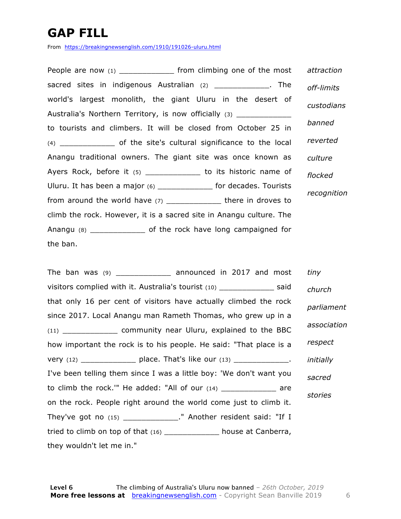## **GAP FILL**

From https://breakingnewsenglish.com/1910/191026-uluru.html

People are now (1) \_\_\_\_\_\_\_\_\_\_\_\_\_\_\_\_ from climbing one of the most sacred sites in indigenous Australian (2) \_\_\_\_\_\_\_\_\_\_\_\_\_\_. The world's largest monolith, the giant Uluru in the desert of Australia's Northern Territory, is now officially (3) to tourists and climbers. It will be closed from October 25 in (4) \_\_\_\_\_\_\_\_\_\_\_\_ of the site's cultural significance to the local Anangu traditional owners. The giant site was once known as Ayers Rock, before it (5) \_\_\_\_\_\_\_\_\_\_\_\_\_\_ to its historic name of Uluru. It has been a major (6) \_\_\_\_\_\_\_\_\_\_\_\_ for decades. Tourists from around the world have (7) \_\_\_\_\_\_\_\_\_\_\_\_\_\_\_\_ there in droves to climb the rock. However, it is a sacred site in Anangu culture. The Anangu (8) \_\_\_\_\_\_\_\_\_\_\_\_ of the rock have long campaigned for the ban. *attraction off-limits custodians banned reverted culture flocked recognition*

The ban was (9) \_\_\_\_\_\_\_\_\_\_\_\_\_\_\_ announced in 2017 and most visitors complied with it. Australia's tourist (10) said that only 16 per cent of visitors have actually climbed the rock since 2017. Local Anangu man Rameth Thomas, who grew up in a (11) \_\_\_\_\_\_\_\_\_\_\_\_ community near Uluru, explained to the BBC how important the rock is to his people. He said: "That place is a very  $(12)$  place. That's like our  $(13)$   $\qquad \qquad$ . I've been telling them since I was a little boy: 'We don't want you to climb the rock." He added: "All of our  $(14)$  \_\_\_\_\_\_\_\_\_\_\_\_ are on the rock. People right around the world come just to climb it. They've got no (15) \_\_\_\_\_\_\_\_\_\_\_\_\_\_." Another resident said: "If I tried to climb on top of that (16) \_\_\_\_\_\_\_\_\_\_\_\_ house at Canberra, they wouldn't let me in." *tiny church parliament association respect initially sacred stories*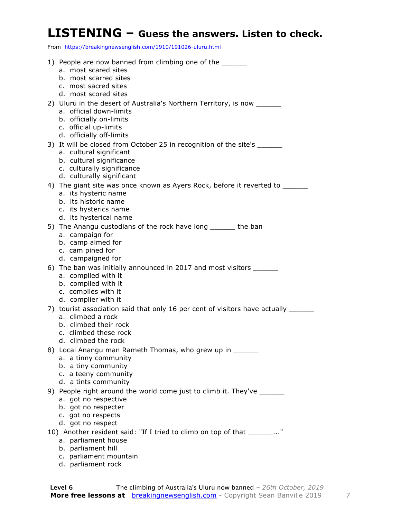### **LISTENING – Guess the answers. Listen to check.**

From https://breakingnewsenglish.com/1910/191026-uluru.html

| 1) People are now banned from climbing one of the ______<br>a. most scared sites                                                |
|---------------------------------------------------------------------------------------------------------------------------------|
| b. most scarred sites<br>c. most sacred sites<br>d. most scored sites                                                           |
| 2) Uluru in the desert of Australia's Northern Territory, is now ______<br>a. official down-limits                              |
| b. officially on-limits<br>c. official up-limits                                                                                |
| d. officially off-limits<br>3) It will be closed from October 25 in recognition of the site's _______                           |
| a. cultural significant<br>b. cultural significance                                                                             |
| c. culturally significance<br>d. culturally significant                                                                         |
| 4) The giant site was once known as Ayers Rock, before it reverted to __________<br>a. its hysteric name                        |
| b. its historic name<br>c. its hysterics name                                                                                   |
| d. its hysterical name<br>5) The Anangu custodians of the rock have long _______ the ban                                        |
| a. campaign for<br>b. camp aimed for                                                                                            |
| c. cam pined for<br>d. campaigned for                                                                                           |
| 6) The ban was initially announced in 2017 and most visitors _______<br>a. complied with it                                     |
| b. compiled with it<br>c. compiles with it                                                                                      |
| d. complier with it                                                                                                             |
| 7) tourist association said that only 16 per cent of visitors have actually _____<br>a. climbed a rock<br>b. climbed their rock |
| c. climbed these rock<br>d. climbed the rock                                                                                    |
| 8) Local Anangu man Rameth Thomas, who grew up in ______                                                                        |
| a. a tinny community<br>b. a tiny community                                                                                     |
| c. a teeny community<br>d. a tints community                                                                                    |
| 9) People right around the world come just to climb it. They've ______<br>a. got no respective                                  |
| b. got no respecter<br>c. got no respects                                                                                       |
| d. got no respect                                                                                                               |
| 10) Another resident said: "If I tried to climb on top of that _______"<br>a. parliament house                                  |
| b. parliament hill                                                                                                              |
| c. parliament mountain                                                                                                          |

d. parliament rock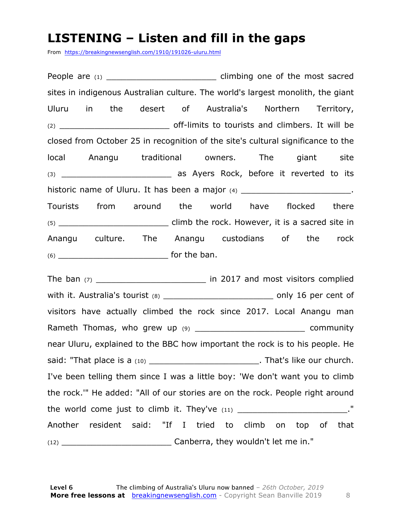### **LISTENING – Listen and fill in the gaps**

From https://breakingnewsenglish.com/1910/191026-uluru.html

People are (1) \_\_\_\_\_\_\_\_\_\_\_\_\_\_\_\_\_\_\_\_\_\_\_\_\_\_\_\_\_\_\_\_ climbing one of the most sacred sites in indigenous Australian culture. The world's largest monolith, the giant Uluru in the desert of Australia's Northern Territory, (2) \_\_\_\_\_\_\_\_\_\_\_\_\_\_\_\_\_\_\_\_\_\_ off-limits to tourists and climbers. It will be closed from October 25 in recognition of the site's cultural significance to the local Anangu traditional owners. The giant site (3) **Example 20 as Ayers Rock, before it reverted to its** historic name of Uluru. It has been a major  $(4)$  \_\_\_\_\_\_\_\_\_\_\_\_\_\_\_\_\_\_\_\_\_\_\_\_. Tourists from around the world have flocked there (5) \_\_\_\_\_\_\_\_\_\_\_\_\_\_\_\_\_\_\_\_\_\_ climb the rock. However, it is a sacred site in Anangu culture. The Anangu custodians of the rock (6) \_\_\_\_\_\_\_\_\_\_\_\_\_\_\_\_\_\_\_\_\_\_ for the ban.

The ban  $(7)$  and most visitors complied with it. Australia's tourist (8) example the state only 16 per cent of visitors have actually climbed the rock since 2017. Local Anangu man Rameth Thomas, who grew up (9) community near Uluru, explained to the BBC how important the rock is to his people. He said: "That place is a (10) **Example 2** and is said: "That's like our church. I've been telling them since I was a little boy: 'We don't want you to climb the rock.'" He added: "All of our stories are on the rock. People right around the world come just to climb it. They've  $(11)$   $\blacksquare$ Another resident said: "If I tried to climb on top of that (12) \_\_\_\_\_\_\_\_\_\_\_\_\_\_\_\_\_\_\_\_\_\_ Canberra, they wouldn't let me in."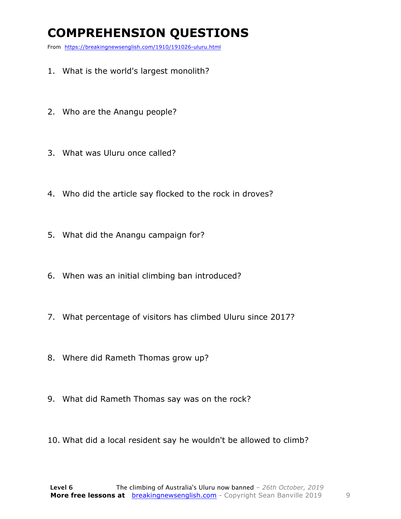## **COMPREHENSION QUESTIONS**

From https://breakingnewsenglish.com/1910/191026-uluru.html

- 1. What is the world's largest monolith?
- 2. Who are the Anangu people?
- 3. What was Uluru once called?
- 4. Who did the article say flocked to the rock in droves?
- 5. What did the Anangu campaign for?
- 6. When was an initial climbing ban introduced?
- 7. What percentage of visitors has climbed Uluru since 2017?
- 8. Where did Rameth Thomas grow up?
- 9. What did Rameth Thomas say was on the rock?
- 10. What did a local resident say he wouldn't be allowed to climb?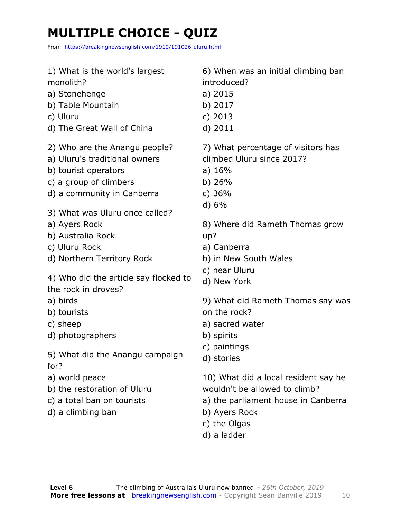## **MULTIPLE CHOICE - QUIZ**

From https://breakingnewsenglish.com/1910/191026-uluru.html

| 1) What is the world's largest<br>monolith?<br>a) Stonehenge<br>b) Table Mountain<br>c) Uluru<br>d) The Great Wall of China                                                                                                                                                                                                                       | 6) When was an initial climbing ban<br>introduced?<br>a) 2015<br>b) 2017<br>c) $2013$<br>d) 2011                                                                                                                                                                    |
|---------------------------------------------------------------------------------------------------------------------------------------------------------------------------------------------------------------------------------------------------------------------------------------------------------------------------------------------------|---------------------------------------------------------------------------------------------------------------------------------------------------------------------------------------------------------------------------------------------------------------------|
| 2) Who are the Anangu people?<br>a) Uluru's traditional owners<br>b) tourist operators<br>c) a group of climbers<br>d) a community in Canberra<br>3) What was Uluru once called?<br>a) Ayers Rock<br>b) Australia Rock<br>c) Uluru Rock<br>d) Northern Territory Rock<br>4) Who did the article say flocked to<br>the rock in droves?<br>a) birds | 7) What percentage of visitors has<br>climbed Uluru since 2017?<br>a) $16%$<br>b) $26%$<br>c) $36%$<br>d) 6%<br>8) Where did Rameth Thomas grow<br>up?<br>a) Canberra<br>b) in New South Wales<br>c) near Uluru<br>d) New York<br>9) What did Rameth Thomas say was |
| b) tourists                                                                                                                                                                                                                                                                                                                                       | on the rock?                                                                                                                                                                                                                                                        |
| c) sheep                                                                                                                                                                                                                                                                                                                                          | a) sacred water                                                                                                                                                                                                                                                     |
| d) photographers                                                                                                                                                                                                                                                                                                                                  | b) spirits                                                                                                                                                                                                                                                          |
| 5) What did the Anangu campaign<br>for?                                                                                                                                                                                                                                                                                                           | c) paintings<br>d) stories                                                                                                                                                                                                                                          |
| a) world peace<br>b) the restoration of Uluru<br>c) a total ban on tourists<br>d) a climbing ban                                                                                                                                                                                                                                                  | 10) What did a local resident say he<br>wouldn't be allowed to climb?<br>a) the parliament house in Canberra<br>b) Ayers Rock<br>c) the Olgas<br>d) a ladder                                                                                                        |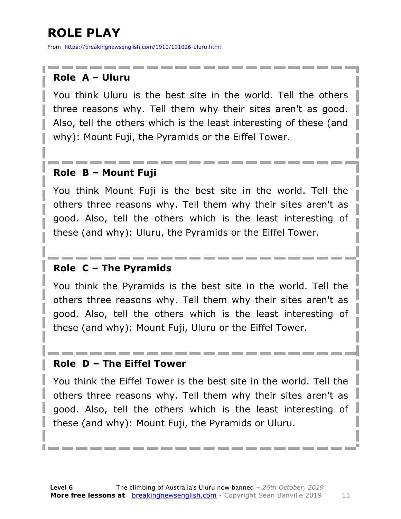## **ROLE PLAY**

From https://breakingnewsenglish.com/1910/191026-uluru.html

### **Role A – Uluru**

You think Uluru is the best site in the world. Tell the others three reasons why. Tell them why their sites aren't as good. Also, tell the others which is the least interesting of these (and why): Mount Fuji, the Pyramids or the Eiffel Tower.

### **Role B – Mount Fuji**

You think Mount Fuji is the best site in the world. Tell the others three reasons why. Tell them why their sites aren't as good. Also, tell the others which is the least interesting of these (and why): Uluru, the Pyramids or the Eiffel Tower.

### **Role C – The Pyramids**

You think the Pyramids is the best site in the world. Tell the others three reasons why. Tell them why their sites aren't as good. Also, tell the others which is the least interesting of these (and why): Mount Fuji, Uluru or the Eiffel Tower.

### **Role D – The Eiffel Tower**

You think the Eiffel Tower is the best site in the world. Tell the others three reasons why. Tell them why their sites aren't as good. Also, tell the others which is the least interesting of these (and why): Mount Fuji, the Pyramids or Uluru.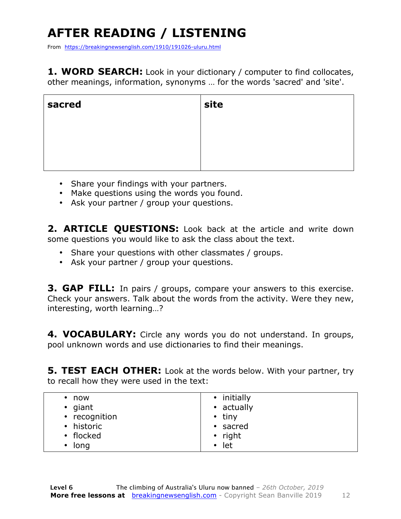## **AFTER READING / LISTENING**

From https://breakingnewsenglish.com/1910/191026-uluru.html

**1. WORD SEARCH:** Look in your dictionary / computer to find collocates, other meanings, information, synonyms … for the words 'sacred' and 'site'.

| sacred | site |
|--------|------|
|        |      |
|        |      |
|        |      |

- Share your findings with your partners.
- Make questions using the words you found.
- Ask your partner / group your questions.

2. **ARTICLE OUESTIONS:** Look back at the article and write down some questions you would like to ask the class about the text.

- Share your questions with other classmates / groups.
- Ask your partner / group your questions.

**3. GAP FILL:** In pairs / groups, compare your answers to this exercise. Check your answers. Talk about the words from the activity. Were they new, interesting, worth learning…?

**4. VOCABULARY:** Circle any words you do not understand. In groups, pool unknown words and use dictionaries to find their meanings.

**5. TEST EACH OTHER:** Look at the words below. With your partner, try to recall how they were used in the text:

| now               | • initially   |
|-------------------|---------------|
| $\bullet$ giant   | • actually    |
| • recognition     | $\cdot$ tiny  |
| • historic        | • sacred      |
| • flocked         | $\cdot$ right |
| long<br>$\bullet$ | $\cdot$ let   |
|                   |               |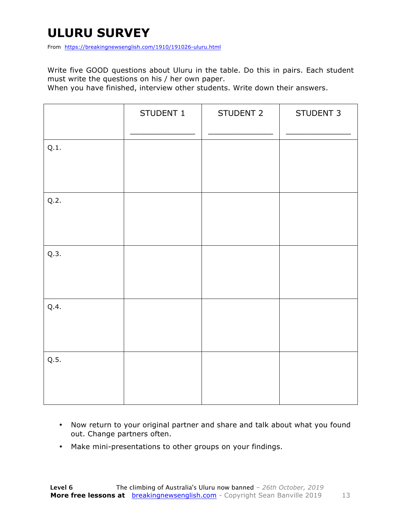## **ULURU SURVEY**

From https://breakingnewsenglish.com/1910/191026-uluru.html

Write five GOOD questions about Uluru in the table. Do this in pairs. Each student must write the questions on his / her own paper.

When you have finished, interview other students. Write down their answers.

|      | STUDENT 1 | STUDENT 2 | STUDENT 3 |
|------|-----------|-----------|-----------|
| Q.1. |           |           |           |
| Q.2. |           |           |           |
| Q.3. |           |           |           |
| Q.4. |           |           |           |
| Q.5. |           |           |           |

- Now return to your original partner and share and talk about what you found out. Change partners often.
- Make mini-presentations to other groups on your findings.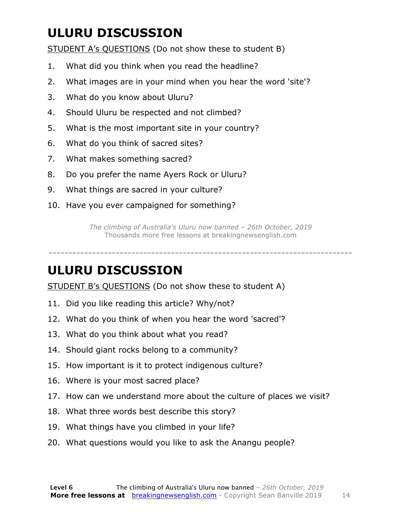## **ULURU DISCUSSION**

STUDENT A's QUESTIONS (Do not show these to student B)

- 1. What did you think when you read the headline?
- 2. What images are in your mind when you hear the word 'site'?
- 3. What do you know about Uluru?
- 4. Should Uluru be respected and not climbed?
- 5. What is the most important site in your country?
- 6. What do you think of sacred sites?
- 7. What makes something sacred?
- 8. Do you prefer the name Ayers Rock or Uluru?
- 9. What things are sacred in your culture?
- 10. Have you ever campaigned for something?

*The climbing of Australia's Uluru now banned – 26th October, 2019* Thousands more free lessons at breakingnewsenglish.com

-----------------------------------------------------------------------------

### **ULURU DISCUSSION**

STUDENT B's QUESTIONS (Do not show these to student A)

- 11. Did you like reading this article? Why/not?
- 12. What do you think of when you hear the word 'sacred'?
- 13. What do you think about what you read?
- 14. Should giant rocks belong to a community?
- 15. How important is it to protect indigenous culture?
- 16. Where is your most sacred place?
- 17. How can we understand more about the culture of places we visit?
- 18. What three words best describe this story?
- 19. What things have you climbed in your life?
- 20. What questions would you like to ask the Anangu people?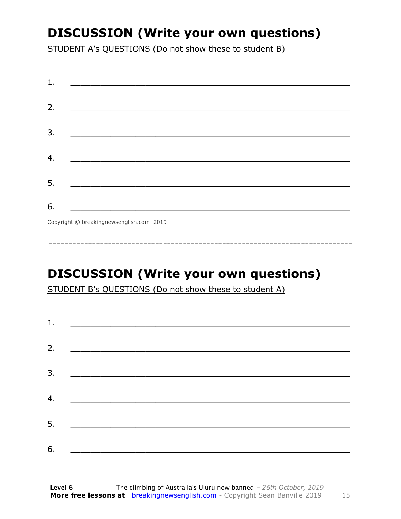## **DISCUSSION (Write your own questions)**

STUDENT A's QUESTIONS (Do not show these to student B)

| 1. |                                          |
|----|------------------------------------------|
|    |                                          |
| 2. |                                          |
|    |                                          |
| 3. |                                          |
|    |                                          |
| 4. |                                          |
|    |                                          |
|    |                                          |
| 5. |                                          |
| 6. |                                          |
|    |                                          |
|    | Copyright © breakingnewsenglish.com 2019 |

**DISCUSSION (Write your own questions)** 

STUDENT B's QUESTIONS (Do not show these to student A)

| 1. | <u> 1989 - Andrea Barbara, Amerikaansk politiker (</u> |  |  |
|----|--------------------------------------------------------|--|--|
| 2. |                                                        |  |  |
|    |                                                        |  |  |
| 3. |                                                        |  |  |
| 4. | <u> 1989 - Andrea Brand, amerikansk politik (</u>      |  |  |
| 5. | <u> 1980 - Jan Barnett, fransk politik (f. 1980)</u>   |  |  |
| 6. |                                                        |  |  |

15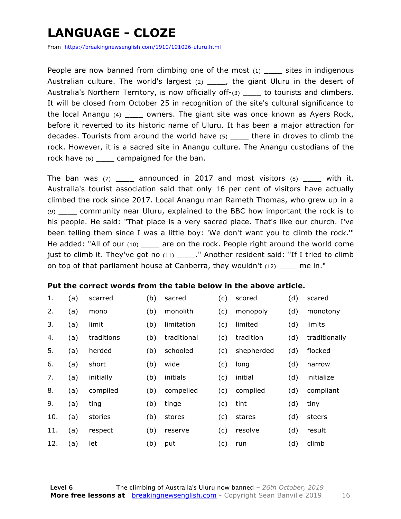## **LANGUAGE - CLOZE**

From https://breakingnewsenglish.com/1910/191026-uluru.html

People are now banned from climbing one of the most  $(1)$  sites in indigenous Australian culture. The world's largest  $(2)$  \_\_\_\_, the giant Uluru in the desert of Australia's Northern Territory, is now officially off-(3) but to tourists and climbers. It will be closed from October 25 in recognition of the site's cultural significance to the local Anangu (4) \_\_\_\_ owners. The giant site was once known as Ayers Rock, before it reverted to its historic name of Uluru. It has been a major attraction for decades. Tourists from around the world have (5) \_\_\_\_ there in droves to climb the rock. However, it is a sacred site in Anangu culture. The Anangu custodians of the rock have  $(6)$  \_\_\_\_ campaigned for the ban.

The ban was  $(7)$  announced in 2017 and most visitors  $(8)$  with it. Australia's tourist association said that only 16 per cent of visitors have actually climbed the rock since 2017. Local Anangu man Rameth Thomas, who grew up in a (9) \_\_\_\_ community near Uluru, explained to the BBC how important the rock is to his people. He said: "That place is a very sacred place. That's like our church. I've been telling them since I was a little boy: 'We don't want you to climb the rock.'" He added: "All of our (10) \_\_\_\_\_ are on the rock. People right around the world come just to climb it. They've got no (11) \_\_\_\_\_." Another resident said: "If I tried to climb on top of that parliament house at Canberra, they wouldn't  $(12)$  me in."

### **Put the correct words from the table below in the above article.**

| 1.  | (a) | scarred    | (b) | sacred      | (c) | scored     | (d) | scared        |
|-----|-----|------------|-----|-------------|-----|------------|-----|---------------|
| 2.  | (a) | mono       | (b) | monolith    | (c) | monopoly   | (d) | monotony      |
| 3.  | (a) | limit      | (b) | limitation  | (c) | limited    | (d) | limits        |
| 4.  | (a) | traditions | (b) | traditional | (c) | tradition  | (d) | traditionally |
| 5.  | (a) | herded     | (b) | schooled    | (c) | shepherded | (d) | flocked       |
| 6.  | (a) | short      | (b) | wide        | (c) | long       | (d) | narrow        |
| 7.  | (a) | initially  | (b) | initials    | (c) | initial    | (d) | initialize    |
| 8.  | (a) | compiled   | (b) | compelled   | (c) | complied   | (d) | compliant     |
| 9.  | (a) | ting       | (b) | tinge       | (c) | tint       | (d) | tiny          |
| 10. | (a) | stories    | (b) | stores      | (c) | stares     | (d) | steers        |
| 11. | (a) | respect    | (b) | reserve     | (c) | resolve    | (d) | result        |
| 12. | (a) | let        | (b) | put         | (c) | run        | (d) | climb         |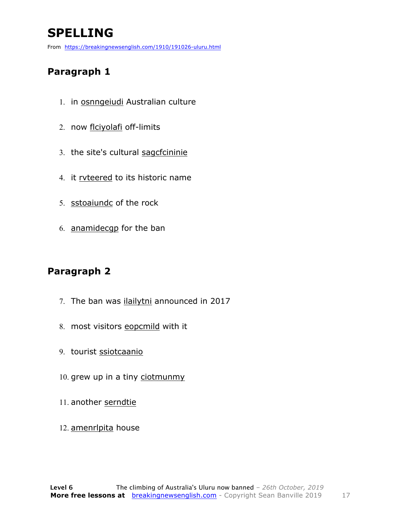## **SPELLING**

From https://breakingnewsenglish.com/1910/191026-uluru.html

### **Paragraph 1**

- 1. in osnngeiudi Australian culture
- 2. now flciyolafi off-limits
- 3. the site's cultural sagcfcininie
- 4. it rvteered to its historic name
- 5. sstoaiundc of the rock
- 6. anamidecgp for the ban

### **Paragraph 2**

- 7. The ban was *ilailytni* announced in 2017
- 8. most visitors eopcmild with it
- 9. tourist ssiotcaanio
- 10. grew up in a tiny ciotmunmy
- 11. another serndtie
- 12. amenrlpita house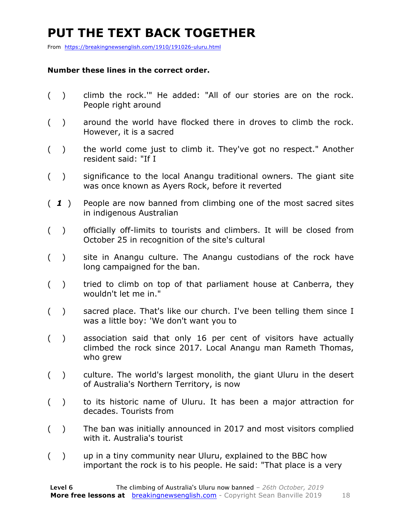## **PUT THE TEXT BACK TOGETHER**

From https://breakingnewsenglish.com/1910/191026-uluru.html

### **Number these lines in the correct order.**

- ( ) climb the rock.'" He added: "All of our stories are on the rock. People right around
- ( ) around the world have flocked there in droves to climb the rock. However, it is a sacred
- ( ) the world come just to climb it. They've got no respect." Another resident said: "If I
- ( ) significance to the local Anangu traditional owners. The giant site was once known as Ayers Rock, before it reverted
- ( *1* ) People are now banned from climbing one of the most sacred sites in indigenous Australian
- ( ) officially off-limits to tourists and climbers. It will be closed from October 25 in recognition of the site's cultural
- ( ) site in Anangu culture. The Anangu custodians of the rock have long campaigned for the ban.
- () tried to climb on top of that parliament house at Canberra, they wouldn't let me in."
- ( ) sacred place. That's like our church. I've been telling them since I was a little boy: 'We don't want you to
- ( ) association said that only 16 per cent of visitors have actually climbed the rock since 2017. Local Anangu man Rameth Thomas, who grew
- ( ) culture. The world's largest monolith, the giant Uluru in the desert of Australia's Northern Territory, is now
- ( ) to its historic name of Uluru. It has been a major attraction for decades. Tourists from
- ( ) The ban was initially announced in 2017 and most visitors complied with it. Australia's tourist
- ( ) up in a tiny community near Uluru, explained to the BBC how important the rock is to his people. He said: "That place is a very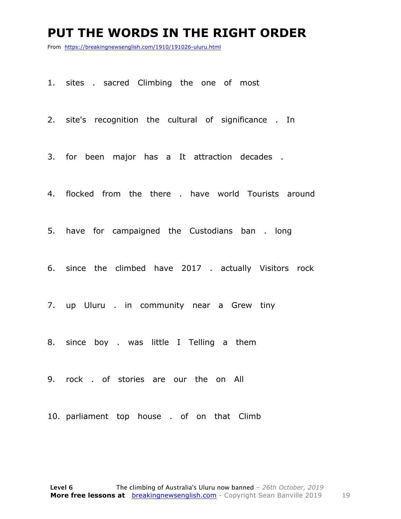### **PUT THE WORDS IN THE RIGHT ORDER**

From https://breakingnewsenglish.com/1910/191026-uluru.html

1. sites . sacred Climbing the one of most

2. site's recognition the cultural of significance . In

3. for been major has a It attraction decades .

4. flocked from the there . have world Tourists around

5. have for campaigned the Custodians ban . long

6. since the climbed have 2017 . actually Visitors rock

7. up Uluru . in community near a Grew tiny

8. since boy . was little I Telling a them

9. rock . of stories are our the on All

10. parliament top house . of on that Climb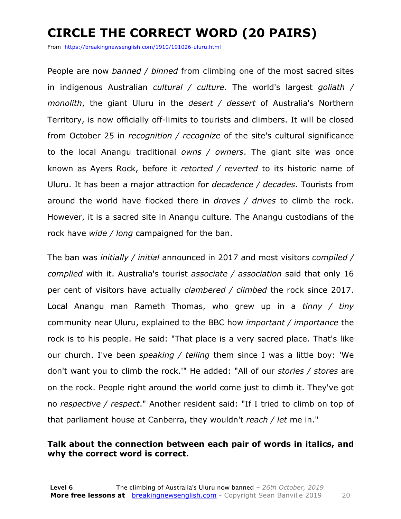## **CIRCLE THE CORRECT WORD (20 PAIRS)**

From https://breakingnewsenglish.com/1910/191026-uluru.html

People are now *banned / binned* from climbing one of the most sacred sites in indigenous Australian *cultural / culture*. The world's largest *goliath / monolith*, the giant Uluru in the *desert / dessert* of Australia's Northern Territory, is now officially off-limits to tourists and climbers. It will be closed from October 25 in *recognition / recognize* of the site's cultural significance to the local Anangu traditional *owns / owners*. The giant site was once known as Ayers Rock, before it *retorted / reverted* to its historic name of Uluru. It has been a major attraction for *decadence / decades*. Tourists from around the world have flocked there in *droves / drives* to climb the rock. However, it is a sacred site in Anangu culture. The Anangu custodians of the rock have *wide / long* campaigned for the ban.

The ban was *initially / initial* announced in 2017 and most visitors *compiled / complied* with it. Australia's tourist *associate / association* said that only 16 per cent of visitors have actually *clambered / climbed* the rock since 2017. Local Anangu man Rameth Thomas, who grew up in a *tinny / tiny* community near Uluru, explained to the BBC how *important / importance* the rock is to his people. He said: "That place is a very sacred place. That's like our church. I've been *speaking / telling* them since I was a little boy: 'We don't want you to climb the rock.'" He added: "All of our *stories / stores* are on the rock. People right around the world come just to climb it. They've got no *respective / respect*." Another resident said: "If I tried to climb on top of that parliament house at Canberra, they wouldn't *reach / let* me in."

### **Talk about the connection between each pair of words in italics, and why the correct word is correct.**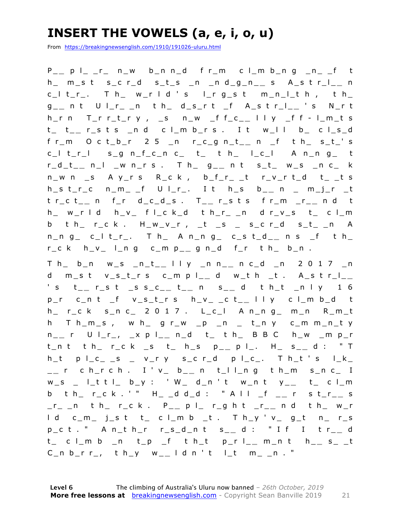## **INSERT THE VOWELS (a, e, i, o, u)**

From https://breakingnewsenglish.com/1910/191026-uluru.html

P \_ **\_** p l\_ \_r\_ n\_w b\_n n\_d f r\_m c l\_m b\_n g \_n\_ \_f t h\_ m\_s t s\_c r\_d s\_t\_s \_n \_n d\_g \_n\_ **\_** s A\_s t r\_l\_ **\_** n  $c_l$  t\_r\_. T h\_ w\_r l d ' s l\_r g\_s t m\_n\_l\_t h , t h\_ g \_ **\_** n t U l\_r\_ \_n t h\_ d\_s\_r t \_f A\_s t r\_l\_ **\_** ' s N\_r t h\_r n T\_r r\_t\_r y , \_s n\_w \_f f\_c\_ **\_** l l y \_f f - l\_m\_t s t\_ t\_ **\_** r\_s t s \_n d c l\_m b\_r s . I t w\_l l b\_ c l\_s\_d f r\_m O c t\_b\_r 2 5 \_n r\_c\_g n\_t\_ **\_** n \_f t h\_ s\_t\_' s  $c_l$  t\_r\_l s\_g n\_f\_c\_n  $c$ \_ t\_ t h\_ l\_c\_l A n\_n g\_ t r\_d\_t\_ **\_** n\_l \_w n\_r s . T h\_ g\_ **\_** n t s\_t\_ w\_s \_n c\_ k  $n_{w}$  n  $_{s}$  A y\_r s R\_c k , b\_f\_r\_ \_t r\_v\_r t\_d t\_ \_t s  $h_s t_r_c$  n\_m\_ \_f U l\_r\_. I t  $h_s$  b\_\_ n \_ m\_j\_r \_t t r\_c t\_ **\_** n f\_r d\_c\_d\_s . T\_ **\_** r\_s t s f r\_m \_r\_ **\_** n d t h\_ w\_r l d h\_v\_ f l\_c k\_d t h\_r\_ \_n d r\_v\_s t\_ c l\_m b t h\_ r\_c k . H\_w\_v\_r , \_t \_s \_ s\_c r\_d s\_t\_ \_n A n\_n g\_ c\_l t\_r\_. T h\_ A n\_n g\_ c\_s t\_d\_ **\_** n s \_f t h\_ r\_c k h\_v\_ l\_n g c\_m p\_ **\_** g n\_d f\_r t h\_ b\_n .

T h\_ b\_n w\_s \_n\_t\_ **\_** l l y \_n n\_ **\_** n c\_d \_n 2 0 1 7 \_n d m\_s t v\_s\_t\_r s c\_m p l\_ **\_** d w\_t h \_t . A\_s t r\_l\_ **\_**  ' s t\_ **\_** r\_s t \_s s\_c\_ **\_** t \_ **\_** n s\_ **\_** d t h\_t \_n l y 1 6 p\_r c\_n t \_f v\_s\_t\_r s h\_v\_ \_c t\_ **\_** l l y c l\_m b\_d t h\_ r\_c k s\_n c\_ 2 0 1 7 . L\_c\_l A n\_n g\_ m\_n R\_m\_t h T  $h_m$ \_s, w  $h_m$  g r\_w \_p \_n \_ t\_n y c\_m m\_n\_t y n \_ **\_** r U l\_r\_, \_x p l\_ **\_** n\_d t\_ t h\_ B B C h\_w \_m p\_r t\_n t t h\_ r\_c k \_s t\_ h\_s p\_ **\_** p l\_. H\_ s\_ **\_** d : " T  $h_t$  p  $l_c$   $s$   $s$   $v$   $y$   $s$   $c$   $r$   $d$   $p$   $l_c$   $r$   $h$   $h$   $t$   $s$   $l$   $k$ \_ **\_** r c h\_r c h . I ' v\_ b\_ **\_** n t\_l l\_n g t h\_m s\_n c\_ I  $w_s$  \_ l\_t t l\_ b\_y : ' W\_ d\_n ' t w\_n t y\_\_ t\_ c l\_m b t h\_ r\_c k . ' " H\_ \_d d\_d : " A l l \_f \_ **\_** r s t\_r\_ **\_** s \_r\_ \_n t h\_ r\_c k . P\_ **\_** p l\_ r\_g h t \_r\_ **\_** n d t h\_ w\_r l d c\_m\_ j\_s t t\_ c l\_m b \_ t . T h\_y ' v\_ g\_t n\_ r\_s p\_c t . " A n\_t h\_r r\_s\_d\_n t s\_ **\_** d : " I f I t r\_ **\_** d t\_ c l\_m b \_n t\_p \_f t h\_t p\_r l\_ **\_** m\_n t h\_ **\_** s\_ \_t C\_n b\_r r\_, t h\_y w\_ **\_** l d n ' t l\_t m\_ \_n . "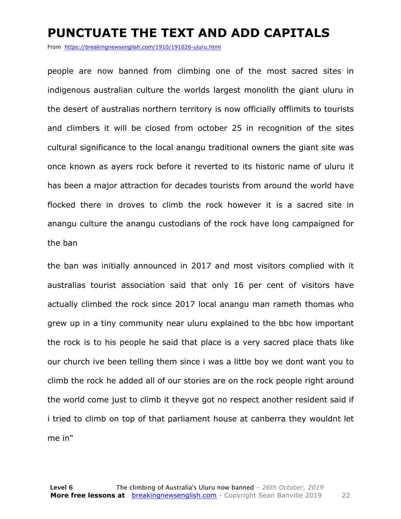### **PUNCTUATE THE TEXT AND ADD CAPITALS**

From https://breakingnewsenglish.com/1910/191026-uluru.html

people are now banned from climbing one of the most sacred sites in indigenous australian culture the worlds largest monolith the giant uluru in the desert of australias northern territory is now officially offlimits to tourists and climbers it will be closed from october 25 in recognition of the sites cultural significance to the local anangu traditional owners the giant site was once known as ayers rock before it reverted to its historic name of uluru it has been a major attraction for decades tourists from around the world have flocked there in droves to climb the rock however it is a sacred site in anangu culture the anangu custodians of the rock have long campaigned for the ban

the ban was initially announced in 2017 and most visitors complied with it australias tourist association said that only 16 per cent of visitors have actually climbed the rock since 2017 local anangu man rameth thomas who grew up in a tiny community near uluru explained to the bbc how important the rock is to his people he said that place is a very sacred place thats like our church ive been telling them since i was a little boy we dont want you to climb the rock he added all of our stories are on the rock people right around the world come just to climb it theyve got no respect another resident said if i tried to climb on top of that parliament house at canberra they wouldnt let me in"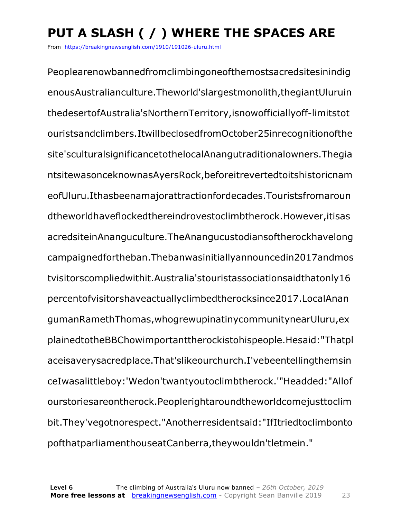## **PUT A SLASH ( / ) WHERE THE SPACES ARE**

From https://breakingnewsenglish.com/1910/191026-uluru.html

Peoplearenowbannedfromclimbingoneofthemostsacredsitesinindig enousAustralianculture.Theworld'slargestmonolith,thegiantUluruin thedesertofAustralia'sNorthernTerritory,isnowofficiallyoff-limitstot ouristsandclimbers.ItwillbeclosedfromOctober25inrecognitionofthe site'sculturalsignificancetothelocalAnangutraditionalowners.Thegia ntsitewasonceknownasAyersRock,beforeitrevertedtoitshistoricnam eofUluru.Ithasbeenamajorattractionfordecades.Touristsfromaroun dtheworldhaveflockedthereindrovestoclimbtherock.However,itisas acredsiteinAnanguculture.TheAnangucustodiansoftherockhavelong campaignedfortheban.Thebanwasinitiallyannouncedin2017andmos tvisitorscompliedwithit.Australia'stouristassociationsaidthatonly16 percentofvisitorshaveactuallyclimbedtherocksince2017.LocalAnan gumanRamethThomas,whogrewupinatinycommunitynearUluru,ex plainedtotheBBChowimportanttherockistohispeople.Hesaid:"Thatpl aceisaverysacredplace.That'slikeourchurch.I'vebeentellingthemsin ceIwasalittleboy:'Wedon'twantyoutoclimbtherock.'"Headded:"Allof ourstoriesareontherock.Peoplerightaroundtheworldcomejusttoclim bit.They'vegotnorespect."Anotherresidentsaid:"IfItriedtoclimbonto pofthatparliamenthouseatCanberra,theywouldn'tletmein."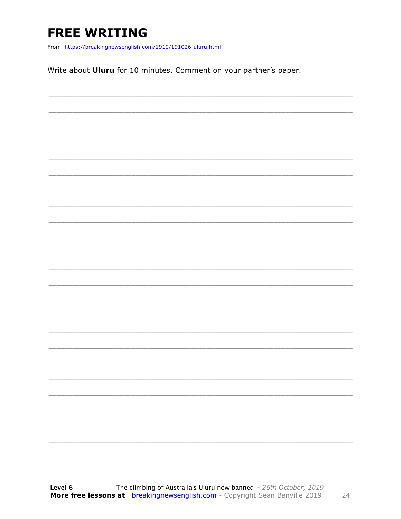## **FREE WRITING**

From https://breakingnewsenglish.com/1910/191026-uluru.html

Write about Uluru for 10 minutes. Comment on your partner's paper.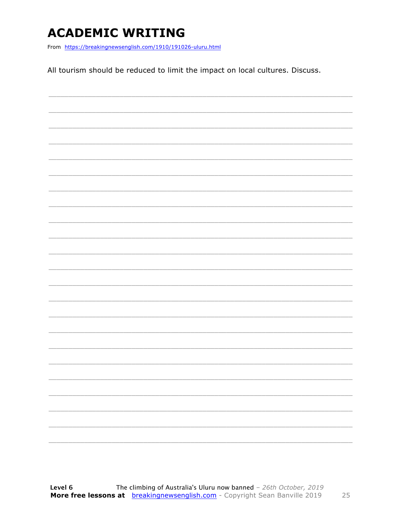## **ACADEMIC WRITING**

From https://breakingnewsenglish.com/1910/191026-uluru.html

All tourism should be reduced to limit the impact on local cultures. Discuss.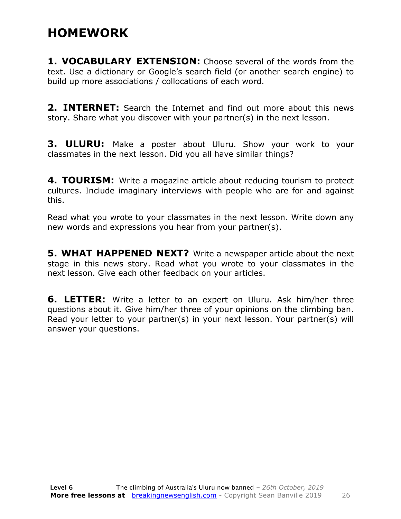### **HOMEWORK**

**1. VOCABULARY EXTENSION:** Choose several of the words from the text. Use a dictionary or Google's search field (or another search engine) to build up more associations / collocations of each word.

**2. INTERNET:** Search the Internet and find out more about this news story. Share what you discover with your partner(s) in the next lesson.

**3. ULURU:** Make a poster about Uluru. Show your work to your classmates in the next lesson. Did you all have similar things?

**4. TOURISM:** Write a magazine article about reducing tourism to protect cultures. Include imaginary interviews with people who are for and against this.

Read what you wrote to your classmates in the next lesson. Write down any new words and expressions you hear from your partner(s).

**5. WHAT HAPPENED NEXT?** Write a newspaper article about the next stage in this news story. Read what you wrote to your classmates in the next lesson. Give each other feedback on your articles.

**6. LETTER:** Write a letter to an expert on Uluru. Ask him/her three questions about it. Give him/her three of your opinions on the climbing ban. Read your letter to your partner(s) in your next lesson. Your partner(s) will answer your questions.